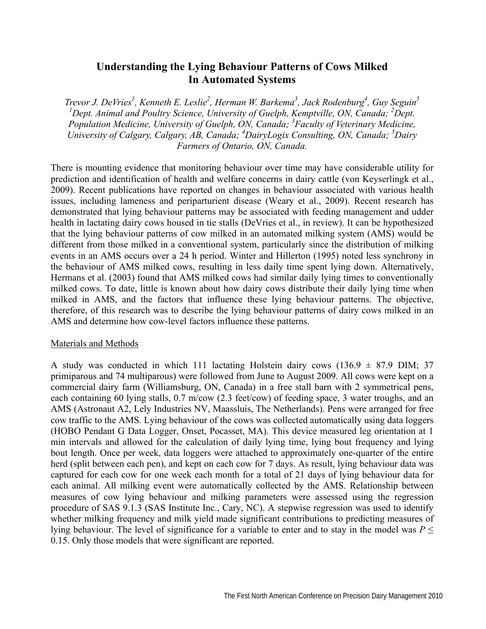## **Understanding the Lying Behaviour Patterns of Cows Milked In Automated Systems**

*Trevor J. DeVries<sup>1</sup>, Kenneth E. Leslie<sup>2</sup>, Herman W. Barkema<sup>3</sup>, Jack Rodenburg<sup>4</sup>, Guy Seguin<sup>5</sup>* <sup>1</sup>Dept. Animal and Poultry Science, University of Guelph, Kemptville, ON, Canada; <sup>2</sup>Dept. *Population Medicine, University of Guelph, ON, Canada; 3 Faculty of Veterinary Medicine, University of Calgary, Calgary, AB, Canada; 4 DairyLogix Consulting, ON, Canada; 5 Dairy Farmers of Ontario, ON, Canada.* 

There is mounting evidence that monitoring behaviour over time may have considerable utility for prediction and identification of health and welfare concerns in dairy cattle (von Keyserlingk et al., 2009). Recent publications have reported on changes in behaviour associated with various health issues, including lameness and periparturient disease (Weary et al., 2009). Recent research has demonstrated that lying behaviour patterns may be associated with feeding management and udder health in lactating dairy cows housed in tie stalls (DeVries et al., in review). It can be hypothesized that the lying behaviour patterns of cow milked in an automated milking system (AMS) would be different from those milked in a conventional system, particularly since the distribution of milking events in an AMS occurs over a 24 h period. Winter and Hillerton (1995) noted less synchrony in the behaviour of AMS milked cows, resulting in less daily time spent lying down. Alternatively, Hermans et al. (2003) found that AMS milked cows had similar daily lying times to conventionally milked cows. To date, little is known about how dairy cows distribute their daily lying time when milked in AMS, and the factors that influence these lying behaviour patterns. The objective, therefore, of this research was to describe the lying behaviour patterns of dairy cows milked in an AMS and determine how cow-level factors influence these patterns.

## Materials and Methods

A study was conducted in which 111 lactating Holstein dairy cows (136.9  $\pm$  87.9 DIM; 37 primiparous and 74 multiparous) were followed from June to August 2009. All cows were kept on a commercial dairy farm (Williamsburg, ON, Canada) in a free stall barn with 2 symmetrical pens, each containing 60 lying stalls, 0.7 m/cow (2.3 feet/cow) of feeding space, 3 water troughs, and an AMS (Astronaut A2, Lely Industries NV, Maassluis, The Netherlands). Pens were arranged for free cow traffic to the AMS. Lying behaviour of the cows was collected automatically using data loggers (HOBO Pendant G Data Logger, Onset, Pocasset, MA). This device measured leg orientation at 1 min intervals and allowed for the calculation of daily lying time, lying bout frequency and lying bout length. Once per week, data loggers were attached to approximately one-quarter of the entire herd (split between each pen), and kept on each cow for 7 days. As result, lying behaviour data was captured for each cow for one week each month for a total of 21 days of lying behaviour data for each animal. All milking event were automatically collected by the AMS. Relationship between measures of cow lying behaviour and milking parameters were assessed using the regression procedure of SAS 9.1.3 (SAS Institute Inc., Cary, NC). A stepwise regression was used to identify whether milking frequency and milk yield made significant contributions to predicting measures of lying behaviour. The level of significance for a variable to enter and to stay in the model was *P* ≤ 0.15. Only those models that were significant are reported.